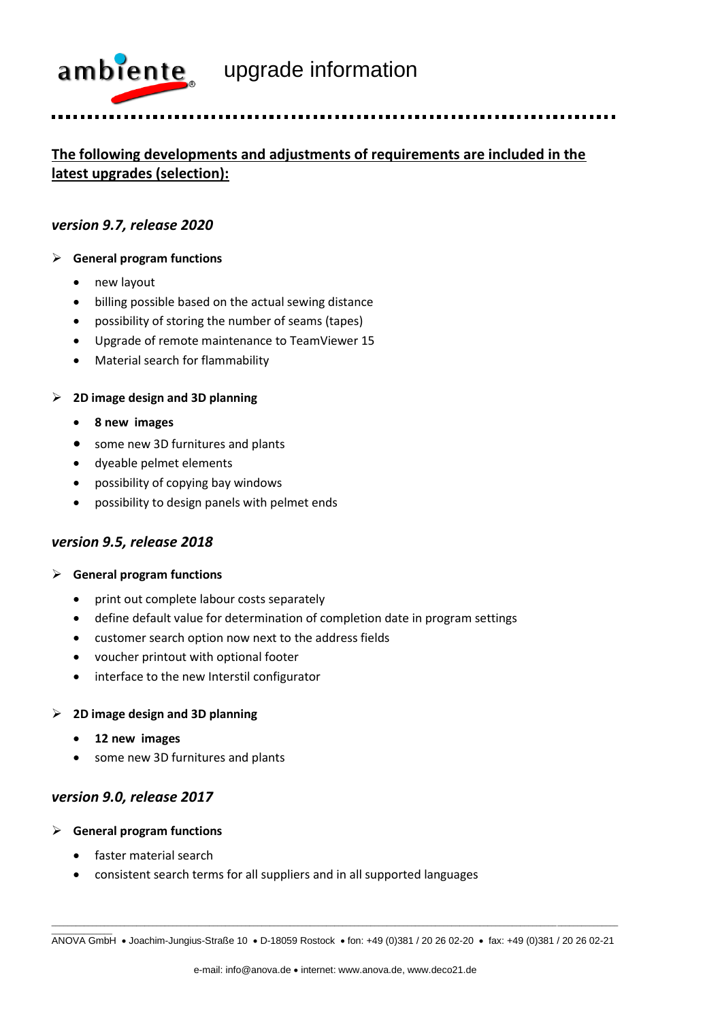

# **The following developments and adjustments of requirements are included in the**

**latest upgrades (selection):** 

#### *version 9.7, release 2020*

#### ➢ **General program functions**

- new layout
- billing possible based on the actual sewing distance
- possibility of storing the number of seams (tapes)
- Upgrade of remote maintenance to TeamViewer 15
- Material search for flammability

#### ➢ **2D image design and 3D planning**

- **8 new images**
- some new 3D furnitures and plants
- dyeable pelmet elements
- possibility of copying bay windows
- possibility to design panels with pelmet ends

### *version 9.5, release 2018*

#### ➢ **General program functions**

- print out complete labour costs separately
- define default value for determination of completion date in program settings
- customer search option now next to the address fields
- voucher printout with optional footer
- interface to the new Interstil configurator

#### ➢ **2D image design and 3D planning**

- **12 new images**
- some new 3D furnitures and plants

#### *version 9.0, release 2017*

➢ **General program functions**

\_\_\_\_\_\_\_\_\_\_\_\_\_\_\_

- faster material search
- consistent search terms for all suppliers and in all supported languages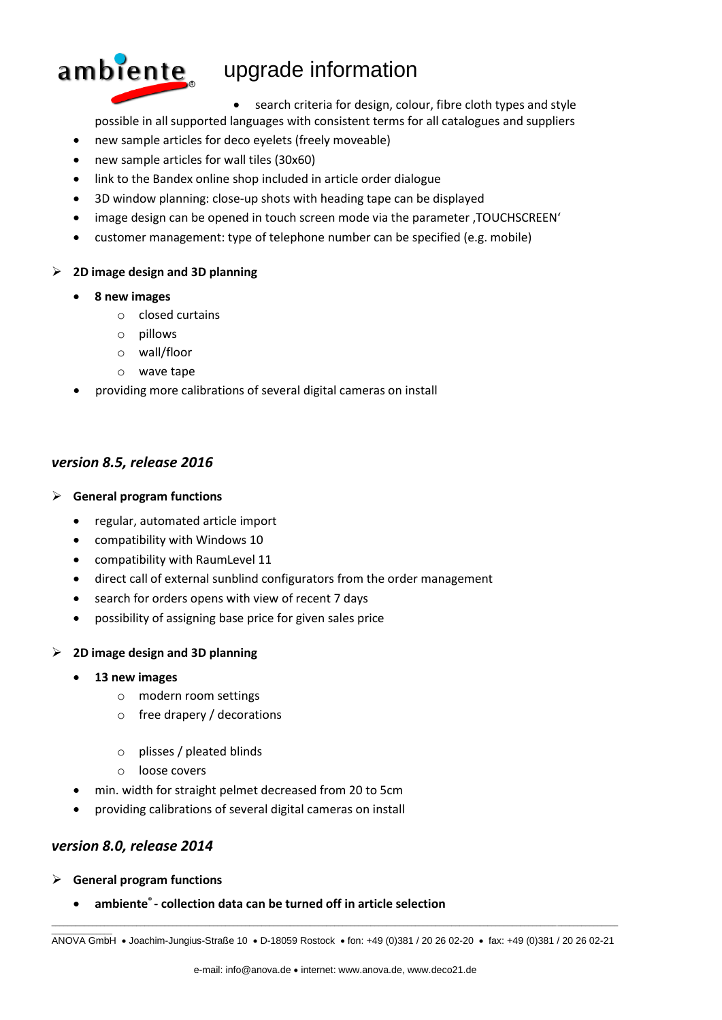

## $ambiente$  upgrade information

• search criteria for design, colour, fibre cloth types and style

- possible in all supported languages with consistent terms for all catalogues and suppliers
- new sample articles for deco eyelets (freely moveable)
- new sample articles for wall tiles (30x60)
- link to the Bandex online shop included in article order dialogue
- 3D window planning: close-up shots with heading tape can be displayed
- image design can be opened in touch screen mode via the parameter , TOUCHSCREEN'
- customer management: type of telephone number can be specified (e.g. mobile)

#### ➢ **2D image design and 3D planning**

- **8 new images**
	- o closed curtains
	- o pillows
	- o wall/floor
	- o wave tape
- providing more calibrations of several digital cameras on install

#### *version 8.5, release 2016*

#### ➢ **General program functions**

- regular, automated article import
- compatibility with Windows 10
- compatibility with RaumLevel 11
- direct call of external sunblind configurators from the order management
- search for orders opens with view of recent 7 days
- possibility of assigning base price for given sales price

#### ➢ **2D image design and 3D planning**

- **13 new images**
	- o modern room settings
	- o free drapery / decorations
	- o plisses / pleated blinds
	- o loose covers
- min. width for straight pelmet decreased from 20 to 5cm
- providing calibrations of several digital cameras on install

### *version 8.0, release 2014*

➢ **General program functions**

\_\_\_\_\_\_\_\_\_\_\_\_\_\_\_

• **ambiente® - collection data can be turned off in article selection**

\_\_\_\_\_\_\_\_\_\_\_\_\_\_\_\_\_\_\_\_\_\_\_\_\_\_\_\_\_\_\_\_\_\_\_\_\_\_\_\_\_\_\_\_\_\_\_\_\_\_\_\_\_\_\_\_\_\_\_\_\_\_\_\_\_\_\_\_\_\_\_\_\_\_\_\_\_\_\_\_\_\_\_\_\_\_\_\_\_\_\_\_\_\_\_\_\_\_\_\_\_\_\_\_\_\_\_\_\_\_\_\_\_\_\_\_\_\_\_\_\_\_\_\_\_\_\_\_\_\_\_\_\_\_\_\_\_\_\_\_ ANOVA GmbH • Joachim-Jungius-Straße 10 • D-18059 Rostock • fon: +49 (0)381 / 20 26 02-20 • fax: +49 (0)381 / 20 26 02-21